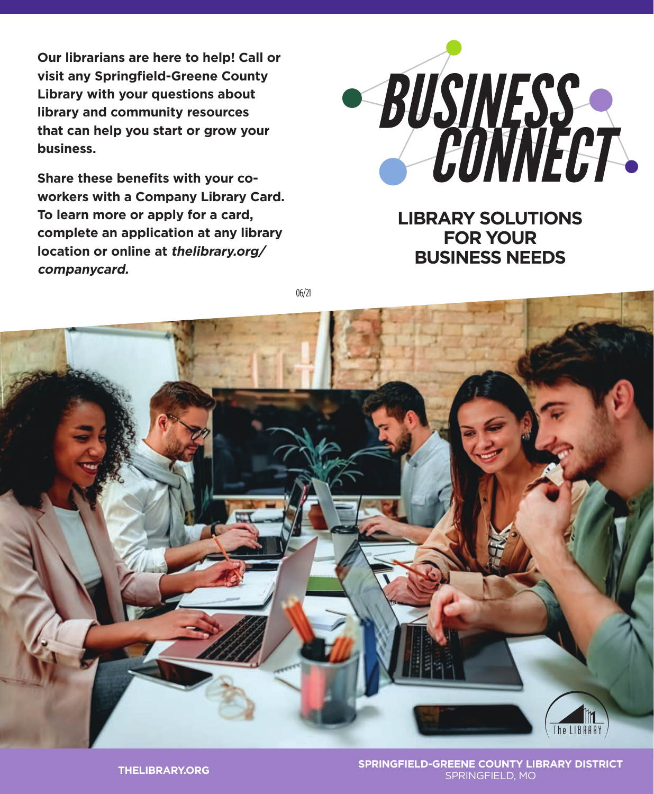**Our librarians are here to help! Call or visit any Springfield-Greene County Library with your questions about library and community resources that can help you start or grow your business.**

**Share these benefits with your coworkers with a Company Library Card. To learn more or apply for a card, complete an application at any library location or online at thelibrary.org/ companycard.**



**LIBRARY SOLUTIONS FOR YOUR BUSINESS NEEDS**

06/21



**SPRINGFIELD-GREENE COUNTY LIBRARY DISTRICT** SPRINGFIELD, MO **THELIBRARY.ORG**